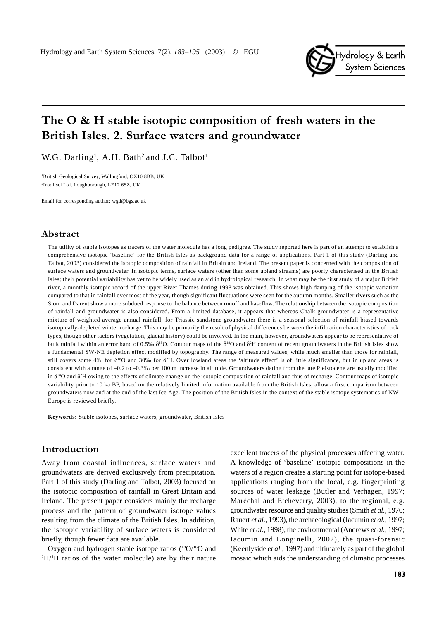

# The  $\bf{O} \& \bf{H}$  stable isotopic composition of fresh waters in the British Isles. 2. Surface waters and groundwater

W.G. Darling<sup>1</sup>, A.H. Bath<sup>2</sup> and J.C. Talbot<sup>1</sup>

1 British Geological Survey, Wallingford, OX10 8BB, UK 2 Intellisci Ltd, Loughborough, LE12 6SZ, UK

Email for corresponding author: wgd@bgs.ac.uk

# Abstract

The utility of stable isotopes as tracers of the water molecule has a long pedigree. The study reported here is part of an attempt to establish a comprehensive isotopic 'baseline' for the British Isles as background data for a range of applications. Part 1 of this study (Darling and Talbot, 2003) considered the isotopic composition of rainfall in Britain and Ireland. The present paper is concerned with the composition of surface waters and groundwater. In isotopic terms, surface waters (other than some upland streams) are poorly characterised in the British Isles; their potential variability has yet to be widely used as an aid in hydrological research. In what may be the first study of a major British river, a monthly isotopic record of the upper River Thames during 1998 was obtained. This shows high damping of the isotopic variation compared to that in rainfall over most of the year, though significant fluctuations were seen for the autumn months. Smaller rivers such as the Stour and Darent show a more subdued response to the balance between runoff and baseflow. The relationship between the isotopic composition of rainfall and groundwater is also considered. From a limited database, it appears that whereas Chalk groundwater is a representative mixture of weighted average annual rainfall, for Triassic sandstone groundwater there is a seasonal selection of rainfall biased towards isotopically-depleted winter recharge. This may be primarily the result of physical differences between the infiltration characteristics of rock types, though other factors (vegetation, glacial history) could be involved. In the main, however, groundwaters appear to be representative of bulk rainfall within an error band of 0.5‰  $\delta^{18}O$ . Contour maps of the  $\delta^{18}O$  and  $\delta^2H$  content of recent groundwaters in the British Isles show a fundamental SW-NE depletion effect modified by topography. The range of measured values, while much smaller than those for rainfall, still covers some 4‰ for  $\delta^{18}O$  and 30‰ for  $\delta^{2}H$ . Over lowland areas the 'altitude effect' is of little significance, but in upland areas is consistent with a range of –0.2 to –0.3‰ per 100 m increase in altitude. Groundwaters dating from the late Pleistocene are usually modified in δ<sup>18</sup>O and δ<sup>2</sup>H owing to the effects of climate change on the isotopic composition of rainfall and thus of recharge. Contour maps of isotopic variability prior to 10 ka BP, based on the relatively limited information available from the British Isles, allow a first comparison between groundwaters now and at the end of the last Ice Age. The position of the British Isles in the context of the stable isotope systematics of NW Europe is reviewed briefly.

**Keywords:** Stable isotopes, surface waters, groundwater, British Isles

# Introduction

Away from coastal influences, surface waters and groundwaters are derived exclusively from precipitation. Part 1 of this study (Darling and Talbot, 2003) focused on the isotopic composition of rainfall in Great Britain and Ireland. The present paper considers mainly the recharge process and the pattern of groundwater isotope values resulting from the climate of the British Isles. In addition, the isotopic variability of surface waters is considered briefly, though fewer data are available.

Oxygen and hydrogen stable isotope ratios  $(^{18}O/^{16}O$  and 2 H/1 H ratios of the water molecule) are by their nature

excellent tracers of the physical processes affecting water. A knowledge of 'baseline' isotopic compositions in the waters of a region creates a starting point for isotope-based applications ranging from the local, e.g. fingerprinting sources of water leakage (Butler and Verhagen, 1997; Maréchal and Etcheverry, 2003), to the regional, e.g. groundwater resource and quality studies (Smith *et al.*, 1976; Rauert *et al.*, 1993), the archaeological (Iacumin *et al.*, 1997; White *et al.*, 1998), the environmental (Andrews *et al.*, 1997; Iacumin and Longinelli, 2002), the quasi-forensic (Keenlyside *et al.*, 1997) and ultimately as part of the global mosaic which aids the understanding of climatic processes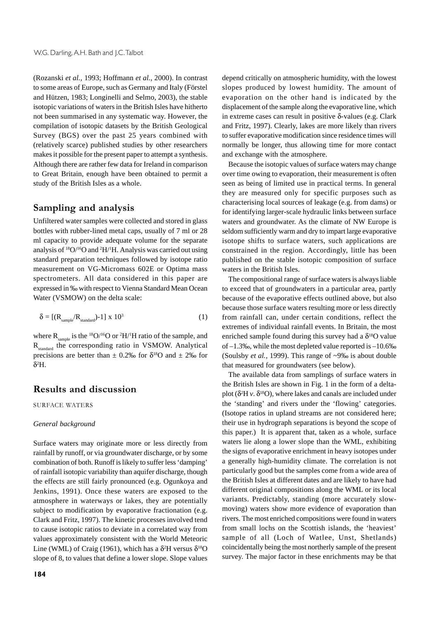(Rozanski *et al.,* 1993; Hoffmann *et al.*, 2000). In contrast to some areas of Europe, such as Germany and Italy (Förstel and Hützen, 1983; Longinelli and Selmo, 2003), the stable isotopic variations of waters in the British Isles have hitherto not been summarised in any systematic way. However, the compilation of isotopic datasets by the British Geological Survey (BGS) over the past 25 years combined with (relatively scarce) published studies by other researchers makes it possible for the present paper to attempt a synthesis. Although there are rather few data for Ireland in comparison to Great Britain, enough have been obtained to permit a study of the British Isles as a whole.

# Sampling and analysis

Unfiltered water samples were collected and stored in glass bottles with rubber-lined metal caps, usually of 7 ml or 28 ml capacity to provide adequate volume for the separate analysis of 18O/16O and 2 H/1 H. Analysis was carried out using standard preparation techniques followed by isotope ratio measurement on VG-Micromass 602E or Optima mass spectrometers. All data considered in this paper are expressed in ‰ with respect to Vienna Standard Mean Ocean Water (VSMOW) on the delta scale:

$$
\delta = \left[ (R_{\text{sample}} / R_{\text{standard}}) - 1 \right] \times 10^3 \tag{1}
$$

where  $R_{\text{sample}}$  is the <sup>18</sup>O/<sup>16</sup>O or <sup>2</sup>H/<sup>1</sup>H ratio of the sample, and R<sub>standard</sub> the corresponding ratio in VSMOW. Analytical precisions are better than  $\pm$  0.2‰ for  $\delta^{18}$ O and  $\pm$  2‰ for δ2 H.

# **Results and discussion**

SURFACE WATERS

#### *General background*

Surface waters may originate more or less directly from rainfall by runoff, or via groundwater discharge, or by some combination of both. Runoff is likely to suffer less 'damping' of rainfall isotopic variability than aquifer discharge, though the effects are still fairly pronounced (e.g. Ogunkoya and Jenkins, 1991). Once these waters are exposed to the atmosphere in waterways or lakes, they are potentially subject to modification by evaporative fractionation (e.g. Clark and Fritz, 1997). The kinetic processes involved tend to cause isotopic ratios to deviate in a correlated way from values approximately consistent with the World Meteoric Line (WML) of Craig (1961), which has a  $\delta^2$ H versus  $\delta^{18}$ O slope of 8, to values that define a lower slope. Slope values depend critically on atmospheric humidity, with the lowest slopes produced by lowest humidity. The amount of evaporation on the other hand is indicated by the displacement of the sample along the evaporative line, which in extreme cases can result in positive δ-values (e.g. Clark and Fritz, 1997). Clearly, lakes are more likely than rivers to suffer evaporative modification since residence times will normally be longer, thus allowing time for more contact and exchange with the atmosphere.

Because the isotopic values of surface waters may change over time owing to evaporation, their measurement is often seen as being of limited use in practical terms. In general they are measured only for specific purposes such as characterising local sources of leakage (e.g. from dams) or for identifying larger-scale hydraulic links between surface waters and groundwater. As the climate of NW Europe is seldom sufficiently warm and dry to impart large evaporative isotope shifts to surface waters, such applications are constrained in the region. Accordingly, little has been published on the stable isotopic composition of surface waters in the British Isles.

The compositional range of surface waters is always liable to exceed that of groundwaters in a particular area, partly because of the evaporative effects outlined above, but also because those surface waters resulting more or less directly from rainfall can, under certain conditions, reflect the extremes of individual rainfall events. In Britain, the most enriched sample found during this survey had a  $\delta^{18}$ O value of –1.3‰, while the most depleted value reported is –10.6‰ (Soulsby *et al.*, 1999). This range of ~9‰ is about double that measured for groundwaters (see below).

The available data from samplings of surface waters in the British Isles are shown in Fig. 1 in the form of a deltaplot ( $\delta^2$ H *v*.  $\delta^{18}$ O), where lakes and canals are included under the 'standing' and rivers under the 'flowing' categories. (Isotope ratios in upland streams are not considered here; their use in hydrograph separations is beyond the scope of this paper.) It is apparent that, taken as a whole, surface waters lie along a lower slope than the WML, exhibiting the signs of evaporative enrichment in heavy isotopes under a generally high-humidity climate. The correlation is not particularly good but the samples come from a wide area of the British Isles at different dates and are likely to have had different original compositions along the WML or its local variants. Predictably, standing (more accurately slowmoving) waters show more evidence of evaporation than rivers. The most enriched compositions were found in waters from small lochs on the Scottish islands, the 'heaviest' sample of all (Loch of Watlee, Unst, Shetlands) coincidentally being the most northerly sample of the present survey. The major factor in these enrichments may be that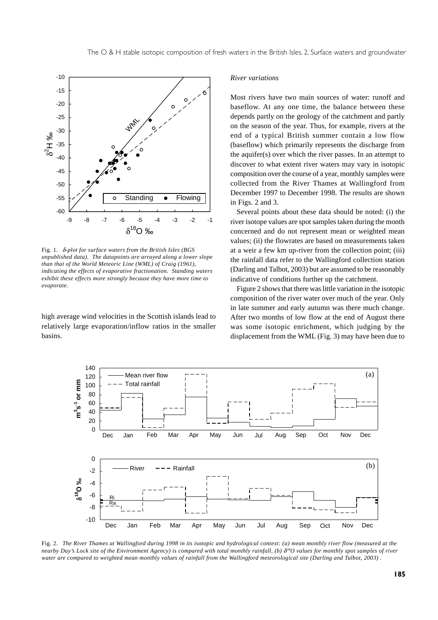

Fig. 1. δ*-plot for surface waters from the British Isles (BGS unpublished data). The datapoints are arrayed along a lower slope than that of the World Meteoric Line (WML) of Craig (1961), indicating the effects of evaporative fractionation. Standing waters exhibit these effects more strongly because they have more time to evaporate.*

high average wind velocities in the Scottish islands lead to relatively large evaporation/inflow ratios in the smaller basins.

#### *River variations*

Most rivers have two main sources of water: runoff and baseflow. At any one time, the balance between these depends partly on the geology of the catchment and partly on the season of the year. Thus, for example, rivers at the end of a typical British summer contain a low flow (baseflow) which primarily represents the discharge from the aquifer(s) over which the river passes. In an attempt to discover to what extent river waters may vary in isotopic composition over the course of a year, monthly samples were collected from the River Thames at Wallingford from December 1997 to December 1998. The results are shown in Figs. 2 and 3.

Several points about these data should be noted: (i) the river isotope values are spot samples taken during the month concerned and do not represent mean or weighted mean values; (ii) the flowrates are based on measurements taken at a weir a few km up-river from the collection point; (iii) the rainfall data refer to the Wallingford collection station (Darling and Talbot, 2003) but are assumed to be reasonably indicative of conditions further up the catchment.

Figure 2 shows that there was little variation in the isotopic composition of the river water over much of the year. Only in late summer and early autumn was there much change. After two months of low flow at the end of August there was some isotopic enrichment, which judging by the displacement from the WML (Fig. 3) may have been due to



Fig. 2. *The River Thames at Wallingford during 1998 in its isotopic and hydrological context: (a) mean monthly river flow (measured at the nearby Day's Lock site of the Environment Agency) is compared with total monthly rainfall, (b) δ<sup>18</sup>O values for monthly spot samples of river water are compared to weighted mean monthly values of rainfall from the Wallingford meteorological site (Darling and Talbot, 2003) .*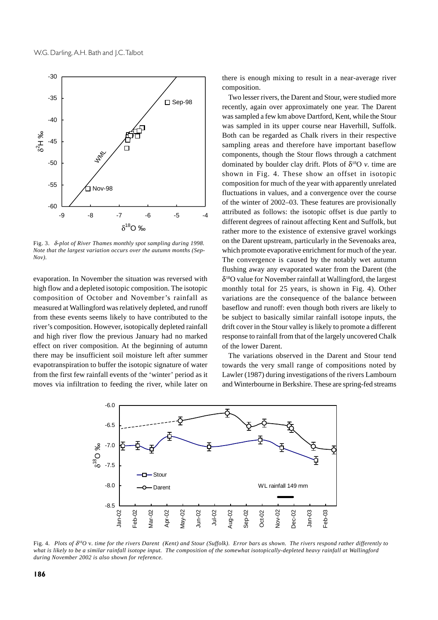

Fig. 3. δ*-plot of River Thames monthly spot sampling during 1998. Note that the largest variation occurs over the autumn months (Sep-Nov).*

evaporation. In November the situation was reversed with high flow and a depleted isotopic composition. The isotopic composition of October and November's rainfall as measured at Wallingford was relatively depleted, and runoff from these events seems likely to have contributed to the river's composition. However, isotopically depleted rainfall and high river flow the previous January had no marked effect on river composition. At the beginning of autumn there may be insufficient soil moisture left after summer evapotranspiration to buffer the isotopic signature of water from the first few rainfall events of the 'winter' period as it moves via infiltration to feeding the river, while later on

there is enough mixing to result in a near-average river composition.

Two lesser rivers, the Darent and Stour, were studied more recently, again over approximately one year. The Darent was sampled a few km above Dartford, Kent, while the Stour was sampled in its upper course near Haverhill, Suffolk. Both can be regarded as Chalk rivers in their respective sampling areas and therefore have important baseflow components, though the Stour flows through a catchment dominated by boulder clay drift. Plots of  $\delta^{18}O$  *v*. time are shown in Fig. 4. These show an offset in isotopic composition for much of the year with apparently unrelated fluctuations in values, and a convergence over the course of the winter of 2002–03. These features are provisionally attributed as follows: the isotopic offset is due partly to different degrees of rainout affecting Kent and Suffolk, but rather more to the existence of extensive gravel workings on the Darent upstream, particularly in the Sevenoaks area, which promote evaporative enrichment for much of the year. The convergence is caused by the notably wet autumn flushing away any evaporated water from the Darent (the  $\delta^{18}$ O value for November rainfall at Wallingford, the largest monthly total for 25 years, is shown in Fig. 4). Other variations are the consequence of the balance between baseflow and runoff: even though both rivers are likely to be subject to basically similar rainfall isotope inputs, the drift cover in the Stour valley is likely to promote a different response to rainfall from that of the largely uncovered Chalk of the lower Darent.

The variations observed in the Darent and Stour tend towards the very small range of compositions noted by Lawler (1987) during investigations of the rivers Lambourn and Winterbourne in Berkshire. These are spring-fed streams



Fig. 4. *Plots of* δ*18O* v*. time for the rivers Darent (Kent) and Stour (Suffolk). Error bars as shown. The rivers respond rather differently to what is likely to be a similar rainfall isotope input. The composition of the somewhat isotopically-depleted heavy rainfall at Wallingford during November 2002 is also shown for reference.*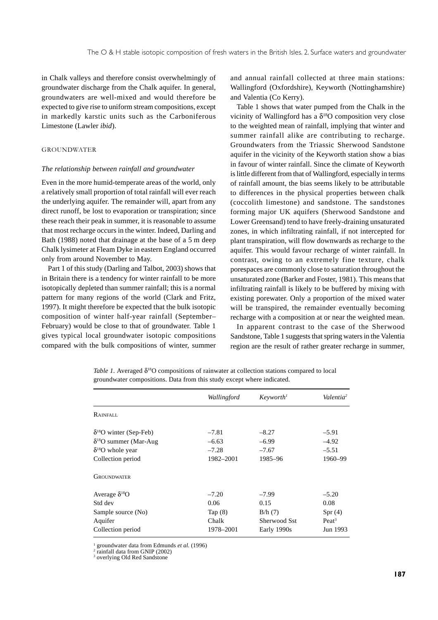in Chalk valleys and therefore consist overwhelmingly of groundwater discharge from the Chalk aquifer. In general, groundwaters are well-mixed and would therefore be expected to give rise to uniform stream compositions, except in markedly karstic units such as the Carboniferous Limestone (Lawler *ibid*).

#### **GROUNDWATER**

#### *The relationship between rainfall and groundwater*

Even in the more humid-temperate areas of the world, only a relatively small proportion of total rainfall will ever reach the underlying aquifer. The remainder will, apart from any direct runoff, be lost to evaporation or transpiration; since these reach their peak in summer, it is reasonable to assume that most recharge occurs in the winter. Indeed, Darling and Bath (1988) noted that drainage at the base of a 5 m deep Chalk lysimeter at Fleam Dyke in eastern England occurred only from around November to May.

Part 1 of this study (Darling and Talbot, 2003) shows that in Britain there is a tendency for winter rainfall to be more isotopically depleted than summer rainfall; this is a normal pattern for many regions of the world (Clark and Fritz, 1997). It might therefore be expected that the bulk isotopic composition of winter half-year rainfall (September– February) would be close to that of groundwater. Table 1 gives typical local groundwater isotopic compositions compared with the bulk compositions of winter, summer

and annual rainfall collected at three main stations: Wallingford (Oxfordshire), Keyworth (Nottinghamshire) and Valentia (Co Kerry).

Table 1 shows that water pumped from the Chalk in the vicinity of Wallingford has a  $\delta^{18}O$  composition very close to the weighted mean of rainfall, implying that winter and summer rainfall alike are contributing to recharge. Groundwaters from the Triassic Sherwood Sandstone aquifer in the vicinity of the Keyworth station show a bias in favour of winter rainfall. Since the climate of Keyworth is little different from that of Wallingford, especially in terms of rainfall amount, the bias seems likely to be attributable to differences in the physical properties between chalk (coccolith limestone) and sandstone. The sandstones forming major UK aquifers (Sherwood Sandstone and Lower Greensand) tend to have freely-draining unsaturated zones, in which infiltrating rainfall, if not intercepted for plant transpiration, will flow downwards as recharge to the aquifer. This would favour recharge of winter rainfall. In contrast, owing to an extremely fine texture, chalk porespaces are commonly close to saturation throughout the unsaturated zone (Barker and Foster, 1981). This means that infiltrating rainfall is likely to be buffered by mixing with existing porewater. Only a proportion of the mixed water will be transpired, the remainder eventually becoming recharge with a composition at or near the weighted mean.

In apparent contrast to the case of the Sherwood Sandstone, Table 1 suggests that spring waters in the Valentia region are the result of rather greater recharge in summer,

*Table 1.* Averaged  $\delta^{18}O$  compositions of rainwater at collection stations compared to local groundwater compositions. Data from this study except where indicated.

|                                  | Wallingford | Keyworth <sup>1</sup> | Valentia <sup>2</sup> |
|----------------------------------|-------------|-----------------------|-----------------------|
| RAINFALL                         |             |                       |                       |
| $\delta^{18}$ O winter (Sep-Feb) | $-7.81$     | $-8.27$               | $-5.91$               |
| $\delta^{18}O$ summer (Mar-Aug   | $-6.63$     | $-6.99$               | $-4.92$               |
| $\delta^{18}$ O whole year       | $-7.28$     | $-7.67$               | $-5.51$               |
| Collection period                | 1982-2001   | 1985-96               | 1960-99               |
| <b>GROUNDWATER</b>               |             |                       |                       |
| Average $\delta^{18}O$           | $-7.20$     | $-7.99$               | $-5.20$               |
| Std dev                          | 0.06        | 0.15                  | 0.08                  |
| Sample source (No)               | Tap $(8)$   | B/h(7)                | Spr(4)                |
| Aquifer                          | Chalk       | Sherwood Sst          | Peak <sup>3</sup>     |
| Collection period                | 1978–2001   | Early 1990s           | Jun 1993              |

1 groundwater data from Edmunds *et al.* (1996) <sup>2</sup>

rainfall data from GNIP (2002)

3 overlying Old Red Sandstone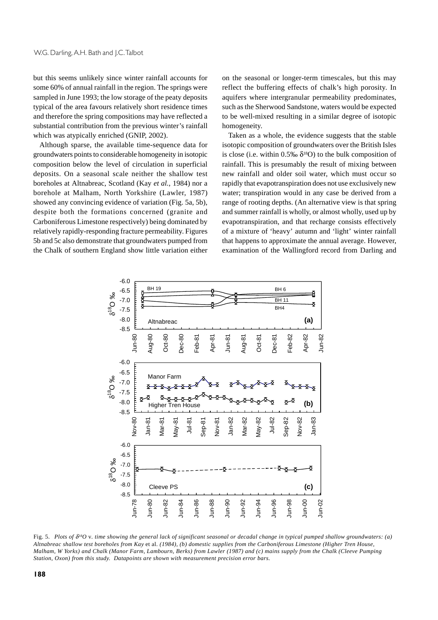but this seems unlikely since winter rainfall accounts for some 60% of annual rainfall in the region. The springs were sampled in June 1993; the low storage of the peaty deposits typical of the area favours relatively short residence times and therefore the spring compositions may have reflected a substantial contribution from the previous winter's rainfall which was atypically enriched (GNIP, 2002).

Although sparse, the available time-sequence data for groundwaters points to considerable homogeneity in isotopic composition below the level of circulation in superficial deposits. On a seasonal scale neither the shallow test boreholes at Altnabreac, Scotland (Kay *et al.*, 1984) nor a borehole at Malham, North Yorkshire (Lawler, 1987) showed any convincing evidence of variation (Fig. 5a, 5b), despite both the formations concerned (granite and Carboniferous Limestone respectively) being dominated by relatively rapidly-responding fracture permeability. Figures 5b and 5c also demonstrate that groundwaters pumped from the Chalk of southern England show little variation either on the seasonal or longer-term timescales, but this may reflect the buffering effects of chalk's high porosity. In aquifers where intergranular permeability predominates, such as the Sherwood Sandstone, waters would be expected to be well-mixed resulting in a similar degree of isotopic homogeneity.

Taken as a whole, the evidence suggests that the stable isotopic composition of groundwaters over the British Isles is close (i.e. within 0.5‰  $\delta^{18}O$ ) to the bulk composition of rainfall. This is presumably the result of mixing between new rainfall and older soil water, which must occur so rapidly that evapotranspiration does not use exclusively new water; transpiration would in any case be derived from a range of rooting depths. (An alternative view is that spring and summer rainfall is wholly, or almost wholly, used up by evapotranspiration, and that recharge consists effectively of a mixture of 'heavy' autumn and 'light' winter rainfall that happens to approximate the annual average. However, examination of the Wallingford record from Darling and



Fig. 5. *Plots of* δ*18O* v*. time showing the general lack of significant seasonal or decadal change in typical pumped shallow groundwaters: (a) Altnabreac shallow test boreholes from Kay* et al*. (1984), (b) domestic supplies from the Carboniferous Limestone (Higher Tren House, Malham, W Yorks) and Chalk (Manor Farm, Lambourn, Berks) from Lawler (1987) and (c) mains supply from the Chalk (Cleeve Pumping Station, Oxon) from this study. Datapoints are shown with measurement precision error bars.*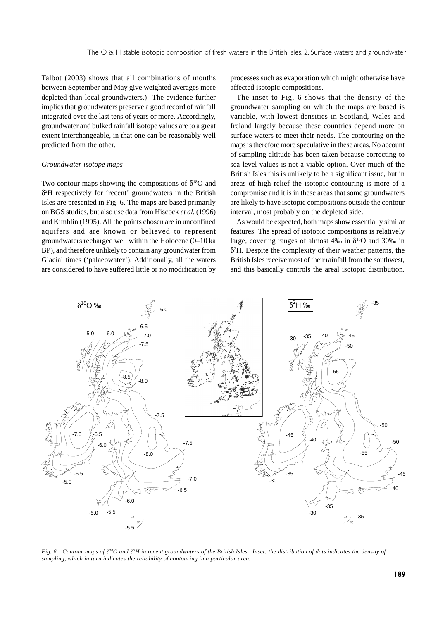Talbot (2003) shows that all combinations of months between September and May give weighted averages more depleted than local groundwaters.) The evidence further implies that groundwaters preserve a good record of rainfall integrated over the last tens of years or more. Accordingly, groundwater and bulked rainfall isotope values are to a great extent interchangeable, in that one can be reasonably well predicted from the other.

#### *Groundwater isotope maps*

Two contour maps showing the compositions of  $\delta^{18}$ O and δ2 H respectively for 'recent' groundwaters in the British Isles are presented in Fig. 6. The maps are based primarily on BGS studies, but also use data from Hiscock *et al.* (1996) and Kimblin (1995). All the points chosen are in unconfined aquifers and are known or believed to represent groundwaters recharged well within the Holocene (0–10 ka BP), and therefore unlikely to contain any groundwater from Glacial times ('palaeowater'). Additionally, all the waters are considered to have suffered little or no modification by

processes such as evaporation which might otherwise have affected isotopic compositions.

The inset to Fig. 6 shows that the density of the groundwater sampling on which the maps are based is variable, with lowest densities in Scotland, Wales and Ireland largely because these countries depend more on surface waters to meet their needs. The contouring on the maps is therefore more speculative in these areas. No account of sampling altitude has been taken because correcting to sea level values is not a viable option. Over much of the British Isles this is unlikely to be a significant issue, but in areas of high relief the isotopic contouring is more of a compromise and it is in these areas that some groundwaters are likely to have isotopic compositions outside the contour interval, most probably on the depleted side.

As would be expected, both maps show essentially similar features. The spread of isotopic compositions is relatively large, covering ranges of almost 4‰ in  $\delta^{18}$ O and 30‰ in δ2 H. Despite the complexity of their weather patterns, the British Isles receive most of their rainfall from the southwest, and this basically controls the areal isotopic distribution.



*Fig. 6. Contour maps of* δ*18O and* δ*<sup>2</sup> H in recent groundwaters of the British Isles. Inset: the distribution of dots indicates the density of sampling, which in turn indicates the reliability of contouring in a particular area.*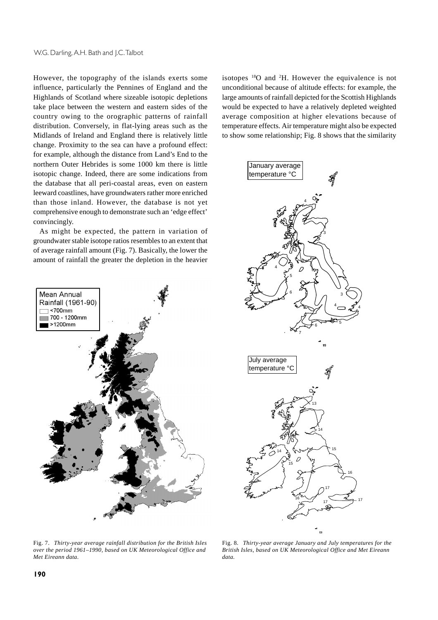However, the topography of the islands exerts some influence, particularly the Pennines of England and the Highlands of Scotland where sizeable isotopic depletions take place between the western and eastern sides of the country owing to the orographic patterns of rainfall distribution. Conversely, in flat-lying areas such as the Midlands of Ireland and England there is relatively little change. Proximity to the sea can have a profound effect: for example, although the distance from Land's End to the northern Outer Hebrides is some 1000 km there is little isotopic change. Indeed, there are some indications from the database that all peri-coastal areas, even on eastern leeward coastlines, have groundwaters rather more enriched than those inland. However, the database is not yet comprehensive enough to demonstrate such an 'edge effect' convincingly.

As might be expected, the pattern in variation of groundwater stable isotope ratios resembles to an extent that of average rainfall amount (Fig. 7). Basically, the lower the amount of rainfall the greater the depletion in the heavier



isotopes 18O and 2 H. However the equivalence is not unconditional because of altitude effects: for example, the large amounts of rainfall depicted for the Scottish Highlands would be expected to have a relatively depleted weighted average composition at higher elevations because of temperature effects. Air temperature might also be expected to show some relationship; Fig. 8 shows that the similarity



Fig. 7. *Thirty-year average rainfall distribution for the British Isles over the period 1961–1990, based on UK Meteorological Office and Met Eireann data.*

Fig. 8. *Thirty-year average January and July temperatures for the British Isles, based on UK Meteorological Office and Met Eireann data.*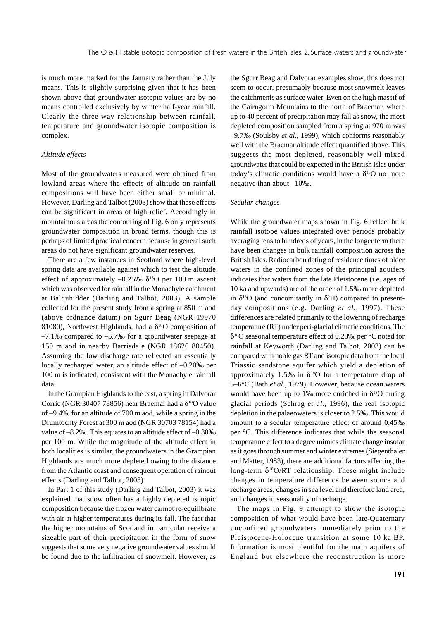is much more marked for the January rather than the July means. This is slightly surprising given that it has been shown above that groundwater isotopic values are by no means controlled exclusively by winter half-year rainfall. Clearly the three-way relationship between rainfall, temperature and groundwater isotopic composition is complex.

#### *Altitude effects*

Most of the groundwaters measured were obtained from lowland areas where the effects of altitude on rainfall compositions will have been either small or minimal. However, Darling and Talbot (2003) show that these effects can be significant in areas of high relief. Accordingly in mountainous areas the contouring of Fig. 6 only represents groundwater composition in broad terms, though this is perhaps of limited practical concern because in general such areas do not have significant groundwater reserves.

There are a few instances in Scotland where high-level spring data are available against which to test the altitude effect of approximately –0.25‰  $\delta^{18}$ O per 100 m ascent which was observed for rainfall in the Monachyle catchment at Balquhidder (Darling and Talbot, 2003). A sample collected for the present study from a spring at 850 m aod (above ordnance datum) on Sgurr Beag (NGR 19970 81080), Northwest Highlands, had a  $\delta^{18}$ O composition of  $-7.1\%$  compared to  $-5.7\%$  for a groundwater seepage at 150 m aod in nearby Barrisdale (NGR 18620 80450). Assuming the low discharge rate reflected an essentially locally recharged water, an altitude effect of –0.20‰ per 100 m is indicated, consistent with the Monachyle rainfall data.

In the Grampian Highlands to the east, a spring in Dalvorar Corrie (NGR 30407 78856) near Braemar had a  $\delta^{18}O$  value of –9.4‰ for an altitude of 700 m aod, while a spring in the Drumtochty Forest at 300 m aod (NGR 30703 78154) had a value of –8.2‰. This equates to an altitude effect of –0.30‰ per 100 m. While the magnitude of the altitude effect in both localities is similar, the groundwaters in the Grampian Highlands are much more depleted owing to the distance from the Atlantic coast and consequent operation of rainout effects (Darling and Talbot, 2003).

In Part 1 of this study (Darling and Talbot, 2003) it was explained that snow often has a highly depleted isotopic composition because the frozen water cannot re-equilibrate with air at higher temperatures during its fall. The fact that the higher mountains of Scotland in particular receive a sizeable part of their precipitation in the form of snow suggests that some very negative groundwater values should be found due to the infiltration of snowmelt. However, as

the Sgurr Beag and Dalvorar examples show, this does not seem to occur, presumably because most snowmelt leaves the catchments as surface water. Even on the high massif of the Cairngorm Mountains to the north of Braemar, where up to 40 percent of precipitation may fall as snow, the most depleted composition sampled from a spring at 970 m was –9.7‰ (Soulsby *et al.*, 1999), which conforms reasonably well with the Braemar altitude effect quantified above. This suggests the most depleted, reasonably well-mixed groundwater that could be expected in the British Isles under today's climatic conditions would have a  $\delta^{18}$ O no more negative than about –10‰.

#### *Secular changes*

While the groundwater maps shown in Fig. 6 reflect bulk rainfall isotope values integrated over periods probably averaging tens to hundreds of years, in the longer term there have been changes in bulk rainfall composition across the British Isles. Radiocarbon dating of residence times of older waters in the confined zones of the principal aquifers indicates that waters from the late Pleistocene (i.e. ages of 10 ka and upwards) are of the order of 1.5‰ more depleted in  $\delta^{18}O$  (and concomitantly in  $\delta^2H$ ) compared to presentday compositions (e.g. Darling *et al.*, 1997). These differences are related primarily to the lowering of recharge temperature (RT) under peri-glacial climatic conditions. The  $\delta^{18}$ O seasonal temperature effect of 0.23‰ per °C noted for rainfall at Keyworth (Darling and Talbot, 2003) can be compared with noble gas RT and isotopic data from the local Triassic sandstone aquifer which yield a depletion of approximately 1.5‰ in  $\delta^{18}O$  for a temperature drop of 5–6°C (Bath *et al.*, 1979). However, because ocean waters would have been up to 1‰ more enriched in  $\delta^{18}O$  during glacial periods (Schrag *et al.*, 1996), the real isotopic depletion in the palaeowaters is closer to 2.5‰. This would amount to a secular temperature effect of around 0.45‰ per °C. This difference indicates that while the seasonal temperature effect to a degree mimics climate change insofar as it goes through summer and winter extremes (Siegenthaler and Matter, 1983), there are additional factors affecting the long-term  $\delta^{18}O/RT$  relationship. These might include changes in temperature difference between source and recharge areas, changes in sea level and therefore land area, and changes in seasonality of recharge.

The maps in Fig. 9 attempt to show the isotopic composition of what would have been late-Quaternary unconfined groundwaters immediately prior to the Pleistocene-Holocene transition at some 10 ka BP. Information is most plentiful for the main aquifers of England but elsewhere the reconstruction is more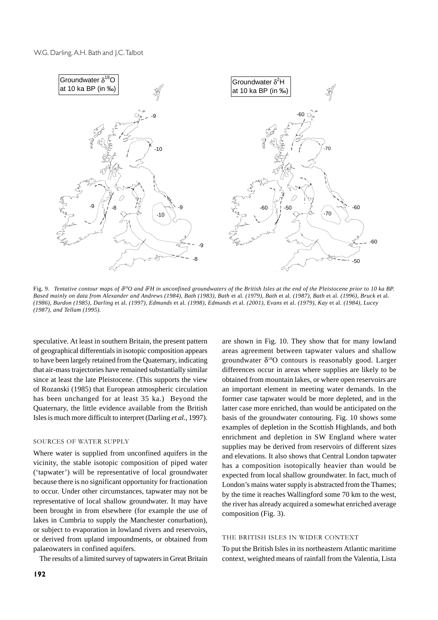

Fig. 9. *Tentative contour maps of* δ*18O and* δ*<sup>2</sup> H in unconfined groundwaters of the British Isles at the end of the Pleistocene prior to 10 ka BP. Based mainly on data from Alexander and Andrews (1984), Bath (1983), Bath* et al*. (1979), Bath* et al*. (1987), Bath* et al. *(1996), Bruck* et al*. (1986), Burdon (1985), Darling* et al. *(1997), Edmunds* et al*. (1998), Edmunds e*t al*. (2001), Evans* et al*. (1979), Kay* et al*. (1984), Lucey (1987), and Tellam (1995).*

speculative. At least in southern Britain, the present pattern of geographical differentials in isotopic composition appears to have been largely retained from the Quaternary, indicating that air-mass trajectories have remained substantially similar since at least the late Pleistocene. (This supports the view of Rozanski (1985) that European atmospheric circulation has been unchanged for at least 35 ka.) Beyond the Quaternary, the little evidence available from the British Isles is much more difficult to interpret (Darling *et al.*, 1997).

#### SOURCES OF WATER SUPPLY

Where water is supplied from unconfined aquifers in the vicinity, the stable isotopic composition of piped water ('tapwater') will be representative of local groundwater because there is no significant opportunity for fractionation to occur. Under other circumstances, tapwater may not be representative of local shallow groundwater. It may have been brought in from elsewhere (for example the use of lakes in Cumbria to supply the Manchester conurbation), or subject to evaporation in lowland rivers and reservoirs, or derived from upland impoundments, or obtained from palaeowaters in confined aquifers.

The results of a limited survey of tapwaters in Great Britain

are shown in Fig. 10. They show that for many lowland areas agreement between tapwater values and shallow groundwater  $\delta^{18}O$  contours is reasonably good. Larger differences occur in areas where supplies are likely to be obtained from mountain lakes, or where open reservoirs are an important element in meeting water demands. In the former case tapwater would be more depleted, and in the latter case more enriched, than would be anticipated on the basis of the groundwater contouring. Fig. 10 shows some examples of depletion in the Scottish Highlands, and both enrichment and depletion in SW England where water supplies may be derived from reservoirs of different sizes and elevations. It also shows that Central London tapwater has a composition isotopically heavier than would be expected from local shallow groundwater. In fact, much of London's mains water supply is abstracted from the Thames; by the time it reaches Wallingford some 70 km to the west, the river has already acquired a somewhat enriched average composition (Fig. 3).

#### THE BRITISH ISLES IN WIDER CONTEXT

To put the British Isles in its northeastern Atlantic maritime context, weighted means of rainfall from the Valentia, Lista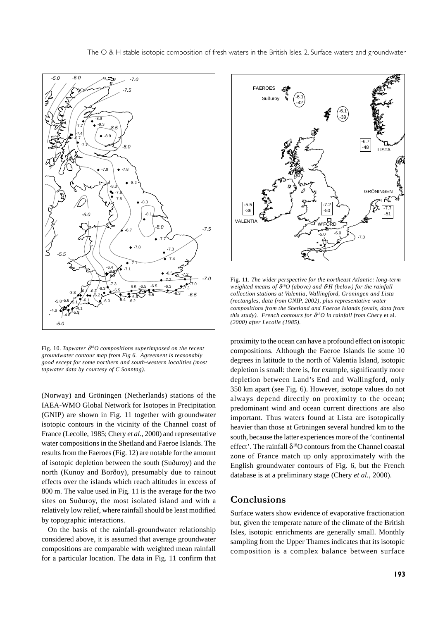

Fig. 10. *Tapwater* δ*18O compositions superimposed on the recent groundwater contour map from Fig 6. Agreement is reasonably good except for some northern and south-western localities (most tapwater data by courtesy of C Sonntag).*

(Norway) and Gröningen (Netherlands) stations of the IAEA-WMO Global Network for Isotopes in Precipitation (GNIP) are shown in Fig. 11 together with groundwater isotopic contours in the vicinity of the Channel coast of France (Lecolle, 1985; Chery *et al.*, 2000) and representative water compositions in the Shetland and Faeroe Islands. The results from the Faeroes (Fig. 12) are notable for the amount of isotopic depletion between the south (Suðuroy) and the north (Kunoy and Borðoy), presumably due to rainout effects over the islands which reach altitudes in excess of 800 m. The value used in Fig. 11 is the average for the two sites on Suðuroy, the most isolated island and with a relatively low relief, where rainfall should be least modified by topographic interactions.

On the basis of the rainfall-groundwater relationship considered above, it is assumed that average groundwater compositions are comparable with weighted mean rainfall for a particular location. The data in Fig. 11 confirm that



Fig. 11*. The wider perspective for the northeast Atlantic: long-term weighted means of* δ*18O (above) and* δ*<sup>2</sup> H (below) for the rainfall collection stations at Valentia, Wallingford, Gröningen and Lista (rectangles, data from GNIP, 2002), plus representative water compositions from the Shetland and Faeroe Islands (ovals, data from this study). French contours for* δ*18O in rainfall from Chery* et al*. (2000) after Lecolle (1985).*

proximity to the ocean can have a profound effect on isotopic compositions. Although the Faeroe Islands lie some 10 degrees in latitude to the north of Valentia Island, isotopic depletion is small: there is, for example, significantly more depletion between Land's End and Wallingford, only 350 km apart (see Fig. 6). However, isotope values do not always depend directly on proximity to the ocean; predominant wind and ocean current directions are also important. Thus waters found at Lista are isotopically heavier than those at Gröningen several hundred km to the south, because the latter experiences more of the 'continental effect'. The rainfall  $\delta^{18}O$  contours from the Channel coastal zone of France match up only approximately with the English groundwater contours of Fig. 6, but the French database is at a preliminary stage (Chery *et al.*, 2000).

### **Conclusions**

Surface waters show evidence of evaporative fractionation but, given the temperate nature of the climate of the British Isles, isotopic enrichments are generally small. Monthly sampling from the Upper Thames indicates that its isotopic composition is a complex balance between surface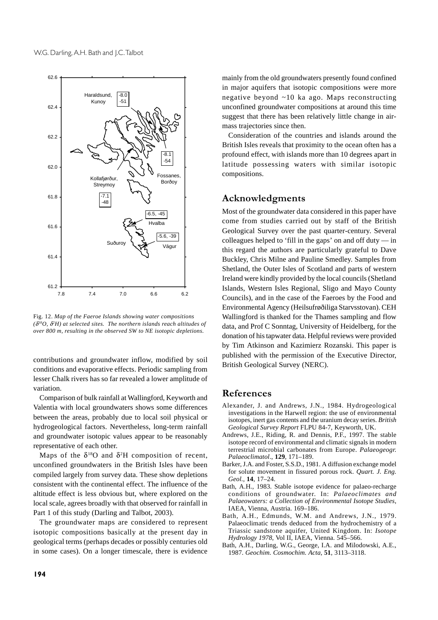![](_page_11_Figure_1.jpeg)

Fig. 12. *Map of the Faeroe Islands showing water compositions (*δ*18O,* δ*<sup>2</sup> H) at selected sites. The northern islands reach altitudes of over 800 m, resulting in the observed SW to NE isotopic depletions.*

contributions and groundwater inflow, modified by soil conditions and evaporative effects. Periodic sampling from lesser Chalk rivers has so far revealed a lower amplitude of variation.

Comparison of bulk rainfall at Wallingford, Keyworth and Valentia with local groundwaters shows some differences between the areas, probably due to local soil physical or hydrogeological factors. Nevertheless, long-term rainfall and groundwater isotopic values appear to be reasonably representative of each other.

Maps of the  $\delta^{18}O$  and  $\delta^2H$  composition of recent, unconfined groundwaters in the British Isles have been compiled largely from survey data. These show depletions consistent with the continental effect. The influence of the altitude effect is less obvious but, where explored on the local scale, agrees broadly with that observed for rainfall in Part 1 of this study (Darling and Talbot, 2003).

The groundwater maps are considered to represent isotopic compositions basically at the present day in geological terms (perhaps decades or possibly centuries old in some cases). On a longer timescale, there is evidence

mainly from the old groundwaters presently found confined in major aquifers that isotopic compositions were more negative beyond ~10 ka ago. Maps reconstructing unconfined groundwater compositions at around this time suggest that there has been relatively little change in airmass trajectories since then.

Consideration of the countries and islands around the British Isles reveals that proximity to the ocean often has a profound effect, with islands more than 10 degrees apart in latitude possessing waters with similar isotopic compositions.

### Acknowledgments

Most of the groundwater data considered in this paper have come from studies carried out by staff of the British Geological Survey over the past quarter-century. Several colleagues helped to 'fill in the gaps' on and off duty — in this regard the authors are particularly grateful to Dave Buckley, Chris Milne and Pauline Smedley. Samples from Shetland, the Outer Isles of Scotland and parts of western Ireland were kindly provided by the local councils (Shetland Islands, Western Isles Regional, Sligo and Mayo County Councils), and in the case of the Faeroes by the Food and Environmental Agency (Heilsufrøðiliga Starvsstovan). CEH Wallingford is thanked for the Thames sampling and flow data, and Prof C Sonntag, University of Heidelberg, for the donation of his tapwater data. Helpful reviews were provided by Tim Atkinson and Kazimierz Rozanski. This paper is published with the permission of the Executive Director, British Geological Survey (NERC).

### References

- Alexander, J. and Andrews, J.N., 1984. Hydrogeological investigations in the Harwell region: the use of environmental isotopes, inert gas contents and the uranium decay series. *British Geological Survey Report* FLPU 84-7, Keyworth, UK.
- Andrews, J.E., Riding, R. and Dennis, P.F., 1997. The stable isotope record of environmental and climatic signals in modern terrestrial microbial carbonates from Europe. *Palaeogeogr. Palaeoclimatol*., **129**, 171–189.
- Barker, J.A. and Foster, S.S.D., 1981. A diffusion exchange model for solute movement in fissured porous rock. *Quart. J. Eng. Geol.,* **14**, 17–24.
- Bath, A.H., 1983. Stable isotope evidence for palaeo-recharge conditions of groundwater. In: *Palaeoclimates and Palaeowaters: a Collection of Environmental Isotope Studies*, IAEA, Vienna, Austria. 169–186.
- Bath, A.H., Edmunds, W.M. and Andrews, J.N., 1979. Palaeoclimatic trends deduced from the hydrochemistry of a Triassic sandstone aquifer, United Kingdom. In: *Isotope Hydrology 1978*, Vol II, IAEA, Vienna. 545–566.
- Bath, A.H., Darling, W.G., George, I.A. and Milodowski, A.E., 1987. *Geochim. Cosmochim. Acta,* **51**, 3113–3118.